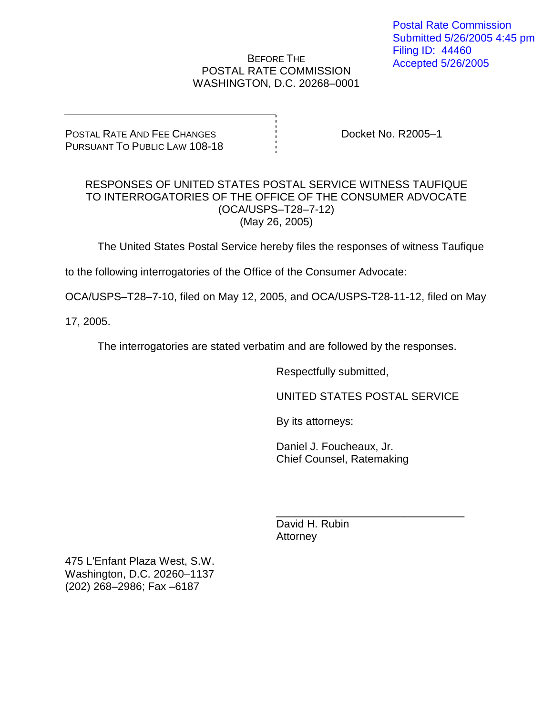BEFORE THE POSTAL RATE COMMISSION WASHINGTON, D.C. 20268–0001

POSTAL RATE AND FEE CHANGES PURSUANT TO PUBLIC LAW 108-18 Docket No. R2005–1

## RESPONSES OF UNITED STATES POSTAL SERVICE WITNESS TAUFIQUE TO INTERROGATORIES OF THE OFFICE OF THE CONSUMER ADVOCATE (OCA/USPS–T28–7-12) (May 26, 2005)

The United States Postal Service hereby files the responses of witness Taufique

to the following interrogatories of the Office of the Consumer Advocate:

OCA/USPS–T28–7-10, filed on May 12, 2005, and OCA/USPS-T28-11-12, filed on May

17, 2005.

The interrogatories are stated verbatim and are followed by the responses.

Respectfully submitted,

UNITED STATES POSTAL SERVICE

By its attorneys:

Daniel J. Foucheaux, Jr. Chief Counsel, Ratemaking

\_\_\_\_\_\_\_\_\_\_\_\_\_\_\_\_\_\_\_\_\_\_\_\_\_\_\_\_\_\_\_ David H. Rubin **Attorney** 

475 L'Enfant Plaza West, S.W. Washington, D.C. 20260–1137 (202) 268–2986; Fax –6187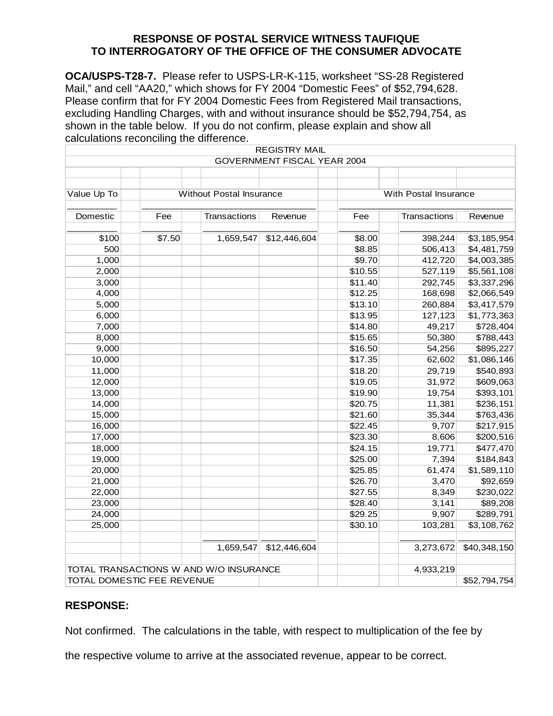**OCA/USPS-T28-7.** Please refer to USPS-LR-K-115, worksheet "SS-28 Registered Mail," and cell "AA20," which shows for FY 2004 "Domestic Fees" of \$52,794,628. Please confirm that for FY 2004 Domestic Fees from Registered Mail transactions, excluding Handling Charges, with and without insurance should be \$52,794,754, as shown in the table below. If you do not confirm, please explain and show all calculations reconciling the difference.

|                                        |        |                                 | <b>REGISTRY MAIL</b>               |                       |              |                        |
|----------------------------------------|--------|---------------------------------|------------------------------------|-----------------------|--------------|------------------------|
|                                        |        |                                 | <b>GOVERNMENT FISCAL YEAR 2004</b> |                       |              |                        |
|                                        |        |                                 |                                    |                       |              |                        |
|                                        |        |                                 |                                    |                       |              |                        |
| Value Up To                            |        | <b>Without Postal Insurance</b> |                                    | With Postal Insurance |              |                        |
|                                        |        |                                 |                                    |                       |              |                        |
| Domestic                               | Fee    | <b>Transactions</b>             | Revenue                            | Fee                   | Transactions | Revenue                |
|                                        |        |                                 |                                    |                       |              |                        |
| \$100                                  | \$7.50 | 1,659,547                       | \$12,446,604                       | \$8.00                | 398,244      | \$3,185,954            |
| 500                                    |        |                                 |                                    | \$8.85                | 506,413      | \$4,481,759            |
| 1,000                                  |        |                                 |                                    | \$9.70                | 412,720      | \$4,003,385            |
| 2,000                                  |        |                                 |                                    | \$10.55               | 527,119      | \$5,561,108            |
| 3,000                                  |        |                                 |                                    | \$11.40               | 292,745      | \$3,337,296            |
| 4,000                                  |        |                                 |                                    | \$12.25               | 168,698      | \$2,066,549            |
| 5,000                                  |        |                                 |                                    | \$13.10               | 260,884      | \$3,417,579            |
| 6,000                                  |        |                                 |                                    | \$13.95               | 127,123      | \$1,773,363            |
| 7,000                                  |        |                                 |                                    | \$14.80               | 49,217       | \$728,404              |
| 8,000                                  |        |                                 |                                    | \$15.65               | 50,380       | \$788,443              |
| 9,000                                  |        |                                 |                                    | \$16.50               | 54,256       | \$895,227              |
| 10,000                                 |        |                                 |                                    | \$17.35               | 62,602       | $\overline{1,086,146}$ |
| 11,000                                 |        |                                 |                                    | \$18.20               | 29,719       | \$540,893              |
| 12,000                                 |        |                                 |                                    | \$19.05               | 31,972       | \$609,063              |
| 13,000                                 |        |                                 |                                    | \$19.90               | 19,754       | \$393,101              |
| 14,000                                 |        |                                 |                                    | \$20.75               | 11,381       | \$236,151              |
| 15,000                                 |        |                                 |                                    | \$21.60               | 35,344       | \$763,436              |
| 16,000                                 |        |                                 |                                    | \$22.45               | 9,707        | \$217,915              |
| 17,000                                 |        |                                 |                                    | \$23.30               | 8,606        | \$200,516              |
| 18,000                                 |        |                                 |                                    | \$24.15               | 19,771       | \$477,470              |
| 19,000                                 |        |                                 |                                    | \$25.00               | 7,394        | \$184,843              |
| 20,000                                 |        |                                 |                                    | \$25.85               | 61,474       | \$1,589,110            |
| 21,000                                 |        |                                 |                                    | \$26.70               | 3,470        | \$92,659               |
| 22,000                                 |        |                                 |                                    | \$27.55               | 8,349        | \$230,022              |
| 23,000                                 |        |                                 |                                    | \$28.40               | 3,141        | \$89,208               |
| 24,000                                 |        |                                 |                                    | \$29.25               | 9,907        | \$289,791              |
| 25,000                                 |        |                                 |                                    | \$30.10               | 103,281      | \$3,108,762            |
|                                        |        |                                 |                                    |                       |              |                        |
|                                        |        | 1,659,547                       | \$12,446,604                       |                       | 3,273,672    | \$40,348,150           |
|                                        |        |                                 |                                    |                       |              |                        |
| TOTAL TRANSACTIONS W AND W/O INSURANCE |        |                                 |                                    |                       | 4,933,219    |                        |
| TOTAL DOMESTIC FEE REVENUE             |        |                                 |                                    |                       |              | \$52,794,754           |

## **RESPONSE:**

Not confirmed. The calculations in the table, with respect to multiplication of the fee by

the respective volume to arrive at the associated revenue, appear to be correct.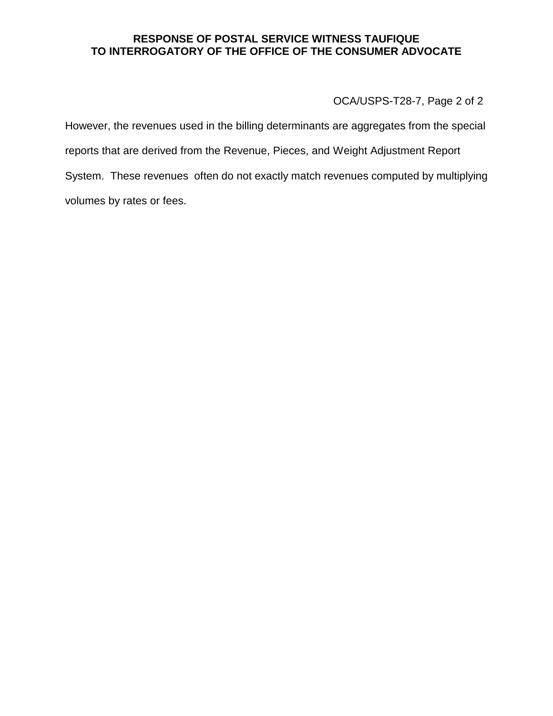OCA/USPS-T28-7, Page 2 of 2

However, the revenues used in the billing determinants are aggregates from the special reports that are derived from the Revenue, Pieces, and Weight Adjustment Report System. These revenues often do not exactly match revenues computed by multiplying volumes by rates or fees.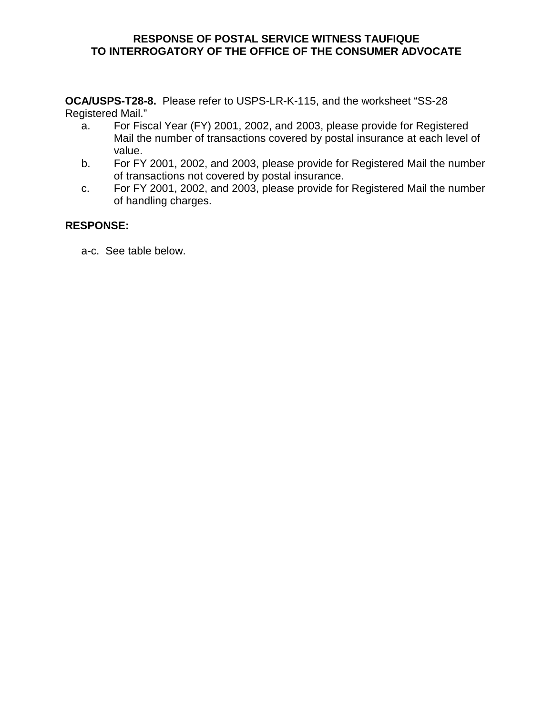**OCA/USPS-T28-8.** Please refer to USPS-LR-K-115, and the worksheet "SS-28 Registered Mail."

- a. For Fiscal Year (FY) 2001, 2002, and 2003, please provide for Registered Mail the number of transactions covered by postal insurance at each level of value.
- b. For FY 2001, 2002, and 2003, please provide for Registered Mail the number of transactions not covered by postal insurance.
- c. For FY 2001, 2002, and 2003, please provide for Registered Mail the number of handling charges.

# **RESPONSE:**

a-c. See table below.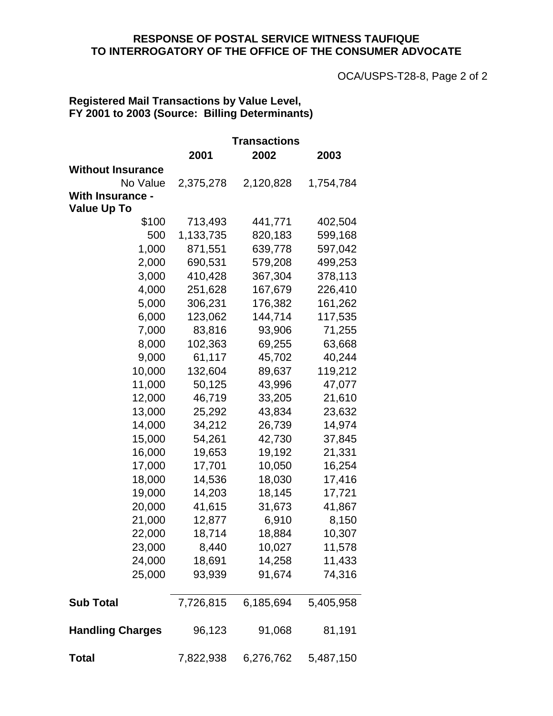OCA/USPS-T28-8, Page 2 of 2

# **Registered Mail Transactions by Value Level, FY 2001 to 2003 (Source: Billing Determinants)**

|                          | Transactions |           |           |  |  |
|--------------------------|--------------|-----------|-----------|--|--|
|                          | 2001         | 2002      | 2003      |  |  |
| <b>Without Insurance</b> |              |           |           |  |  |
| No Value                 | 2,375,278    | 2,120,828 | 1,754,784 |  |  |
| <b>With Insurance -</b>  |              |           |           |  |  |
| <b>Value Up To</b>       |              |           |           |  |  |
| \$100                    | 713,493      | 441,771   | 402,504   |  |  |
| 500                      | 1,133,735    | 820,183   | 599,168   |  |  |
| 1,000                    | 871,551      | 639,778   | 597,042   |  |  |
| 2,000                    | 690,531      | 579,208   | 499,253   |  |  |
| 3,000                    | 410,428      | 367,304   | 378,113   |  |  |
| 4,000                    | 251,628      | 167,679   | 226,410   |  |  |
| 5,000                    | 306,231      | 176,382   | 161,262   |  |  |
| 6,000                    | 123,062      | 144,714   | 117,535   |  |  |
| 7,000                    | 83,816       | 93,906    | 71,255    |  |  |
| 8,000                    | 102,363      | 69,255    | 63,668    |  |  |
| 9,000                    | 61,117       | 45,702    | 40,244    |  |  |
| 10,000                   | 132,604      | 89,637    | 119,212   |  |  |
| 11,000                   | 50,125       | 43,996    | 47,077    |  |  |
| 12,000                   | 46,719       | 33,205    | 21,610    |  |  |
| 13,000                   | 25,292       | 43,834    | 23,632    |  |  |
| 14,000                   | 34,212       | 26,739    | 14,974    |  |  |
| 15,000                   | 54,261       | 42,730    | 37,845    |  |  |
| 16,000                   | 19,653       | 19,192    | 21,331    |  |  |
| 17,000                   | 17,701       | 10,050    | 16,254    |  |  |
| 18,000                   | 14,536       | 18,030    | 17,416    |  |  |
| 19,000                   | 14,203       | 18,145    | 17,721    |  |  |
| 20,000                   | 41,615       | 31,673    | 41,867    |  |  |
| 21,000                   | 12,877       | 6,910     | 8,150     |  |  |
| 22,000                   | 18,714       | 18,884    | 10,307    |  |  |
| 23,000                   | 8,440        | 10,027    | 11,578    |  |  |
| 24,000                   | 18,691       | 14,258    | 11,433    |  |  |
| 25,000                   | 93,939       | 91,674    | 74,316    |  |  |
| <b>Sub Total</b>         | 7,726,815    | 6,185,694 | 5,405,958 |  |  |
| <b>Handling Charges</b>  | 96,123       | 91,068    | 81,191    |  |  |
| Total                    | 7,822,938    | 6,276,762 | 5,487,150 |  |  |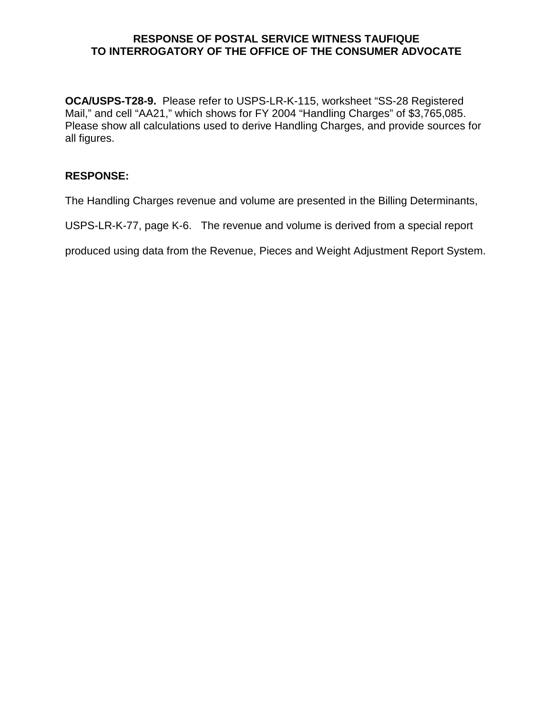**OCA/USPS-T28-9.** Please refer to USPS-LR-K-115, worksheet "SS-28 Registered Mail," and cell "AA21," which shows for FY 2004 "Handling Charges" of \$3,765,085. Please show all calculations used to derive Handling Charges, and provide sources for all figures.

# **RESPONSE:**

The Handling Charges revenue and volume are presented in the Billing Determinants,

USPS-LR-K-77, page K-6. The revenue and volume is derived from a special report

produced using data from the Revenue, Pieces and Weight Adjustment Report System.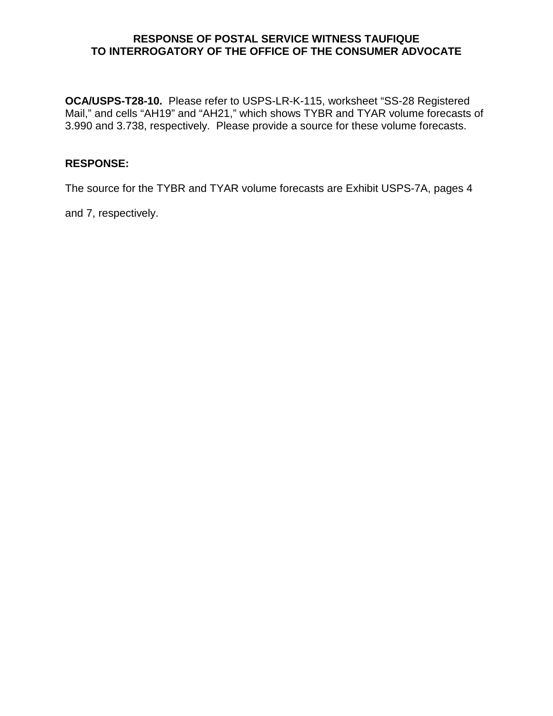**OCA/USPS-T28-10.** Please refer to USPS-LR-K-115, worksheet "SS-28 Registered Mail," and cells "AH19" and "AH21," which shows TYBR and TYAR volume forecasts of 3.990 and 3.738, respectively. Please provide a source for these volume forecasts.

#### **RESPONSE:**

The source for the TYBR and TYAR volume forecasts are Exhibit USPS-7A, pages 4

and 7, respectively.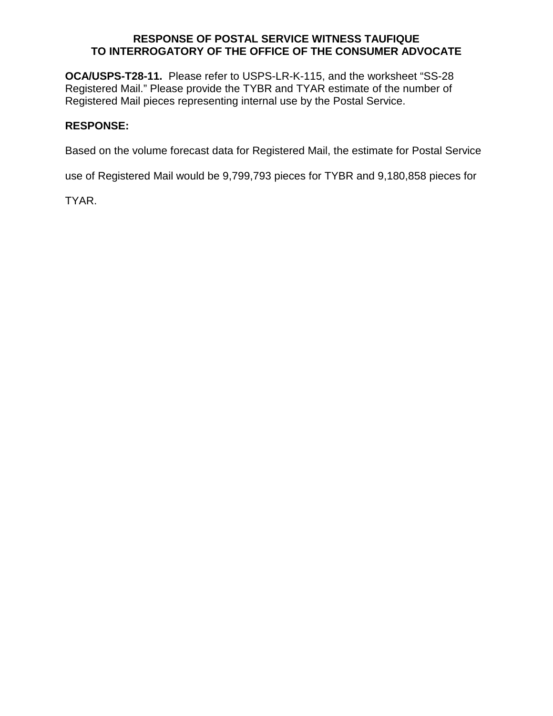**OCA/USPS-T28-11.** Please refer to USPS-LR-K-115, and the worksheet "SS-28 Registered Mail." Please provide the TYBR and TYAR estimate of the number of Registered Mail pieces representing internal use by the Postal Service.

## **RESPONSE:**

Based on the volume forecast data for Registered Mail, the estimate for Postal Service

use of Registered Mail would be 9,799,793 pieces for TYBR and 9,180,858 pieces for

TYAR.